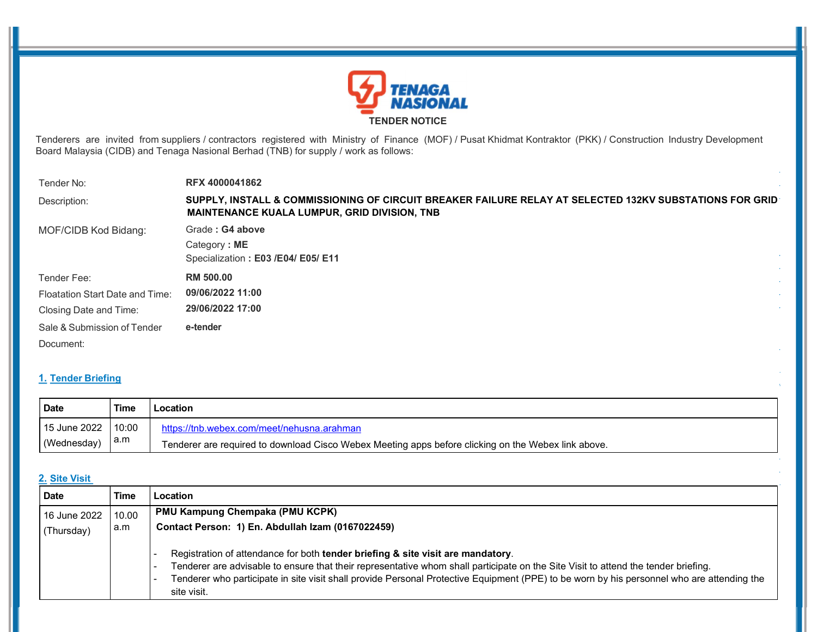

Tenderers are invited from suppliers / contractors registered with Ministry of Finance (MOF) / Pusat Khidmat Kontraktor (PKK) / Construction Industry Development Board Malaysia (CIDB) and Tenaga Nasional Berhad (TNB) for supply / work as follows:

| Tender No:                      | <b>RFX 4000041862</b>                                                                                                                                          |  |
|---------------------------------|----------------------------------------------------------------------------------------------------------------------------------------------------------------|--|
| Description:                    | SUPPLY, INSTALL & COMMISSIONING OF CIRCUIT BREAKER FAILURE RELAY AT SELECTED 132KV SUBSTATIONS FOR GRID<br><b>MAINTENANCE KUALA LUMPUR, GRID DIVISION, TNB</b> |  |
| MOF/CIDB Kod Bidang:            | Grade: G4 above                                                                                                                                                |  |
|                                 | Category: ME                                                                                                                                                   |  |
|                                 | Specialization: E03 /E04/ E05/ E11                                                                                                                             |  |
| Tender Fee:                     | <b>RM 500.00</b>                                                                                                                                               |  |
| Floatation Start Date and Time: | 09/06/2022 11:00                                                                                                                                               |  |
| Closing Date and Time:          | 29/06/2022 17:00                                                                                                                                               |  |
| Sale & Submission of Tender     | e-tender                                                                                                                                                       |  |
| Document:                       |                                                                                                                                                                |  |

# 1. Tender Briefing

| Date                 | <b>Time</b> | Location                                                                                            |
|----------------------|-------------|-----------------------------------------------------------------------------------------------------|
| 15 June 2022   10:00 |             | https://tnb.webex.com/meet/nehusna.arahman                                                          |
| (Wednesday)          | ∣a.m        | Tenderer are required to download Cisco Webex Meeting apps before clicking on the Webex link above. |

## 2. Site Visit

| <b>Date</b>  | <b>Time</b> | Location                                                                                                                                                                                                                                                                                                                                                                           |
|--------------|-------------|------------------------------------------------------------------------------------------------------------------------------------------------------------------------------------------------------------------------------------------------------------------------------------------------------------------------------------------------------------------------------------|
| 16 June 2022 | 10.00       | <b>PMU Kampung Chempaka (PMU KCPK)</b>                                                                                                                                                                                                                                                                                                                                             |
| (Thursday)   | a.m         | Contact Person: 1) En. Abdullah Izam (0167022459)                                                                                                                                                                                                                                                                                                                                  |
|              |             | Registration of attendance for both tender briefing & site visit are mandatory.<br>Tenderer are advisable to ensure that their representative whom shall participate on the Site Visit to attend the tender briefing.<br>Tenderer who participate in site visit shall provide Personal Protective Equipment (PPE) to be worn by his personnel who are attending the<br>site visit. |